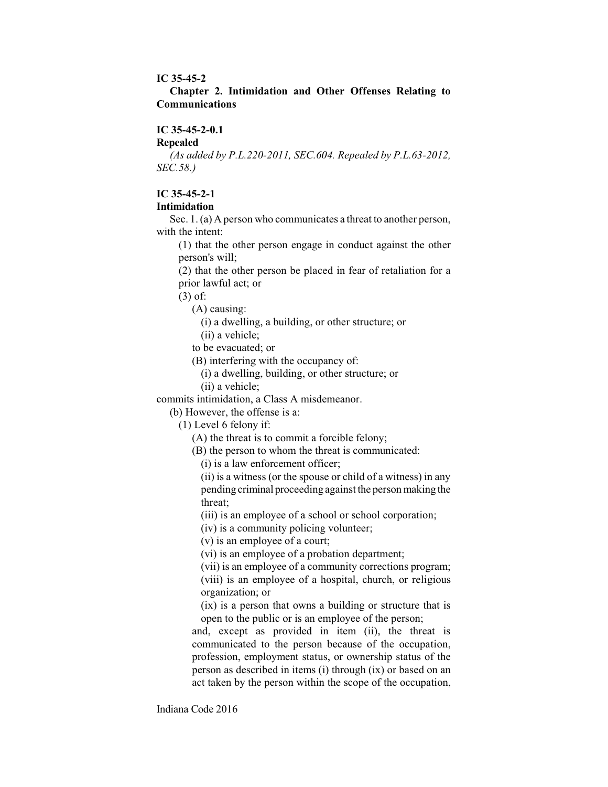#### **IC 35-45-2**

## **Chapter 2. Intimidation and Other Offenses Relating to Communications**

### **IC 35-45-2-0.1**

## **Repealed**

*(As added by P.L.220-2011, SEC.604. Repealed by P.L.63-2012, SEC.58.)*

## **IC 35-45-2-1**

#### **Intimidation**

Sec. 1. (a) A person who communicates a threat to another person, with the intent:

(1) that the other person engage in conduct against the other person's will;

(2) that the other person be placed in fear of retaliation for a prior lawful act; or

(3) of:

(A) causing:

(i) a dwelling, a building, or other structure; or

(ii) a vehicle;

to be evacuated; or

(B) interfering with the occupancy of:

(i) a dwelling, building, or other structure; or

(ii) a vehicle;

commits intimidation, a Class A misdemeanor.

(b) However, the offense is a:

(1) Level 6 felony if:

(A) the threat is to commit a forcible felony;

(B) the person to whom the threat is communicated:

(i) is a law enforcement officer;

(ii) is a witness (or the spouse or child of a witness) in any pending criminal proceeding against the personmaking the threat;

(iii) is an employee of a school or school corporation;

(iv) is a community policing volunteer;

(v) is an employee of a court;

(vi) is an employee of a probation department;

(vii) is an employee of a community corrections program; (viii) is an employee of a hospital, church, or religious organization; or

(ix) is a person that owns a building or structure that is open to the public or is an employee of the person;

and, except as provided in item (ii), the threat is communicated to the person because of the occupation, profession, employment status, or ownership status of the person as described in items (i) through (ix) or based on an act taken by the person within the scope of the occupation,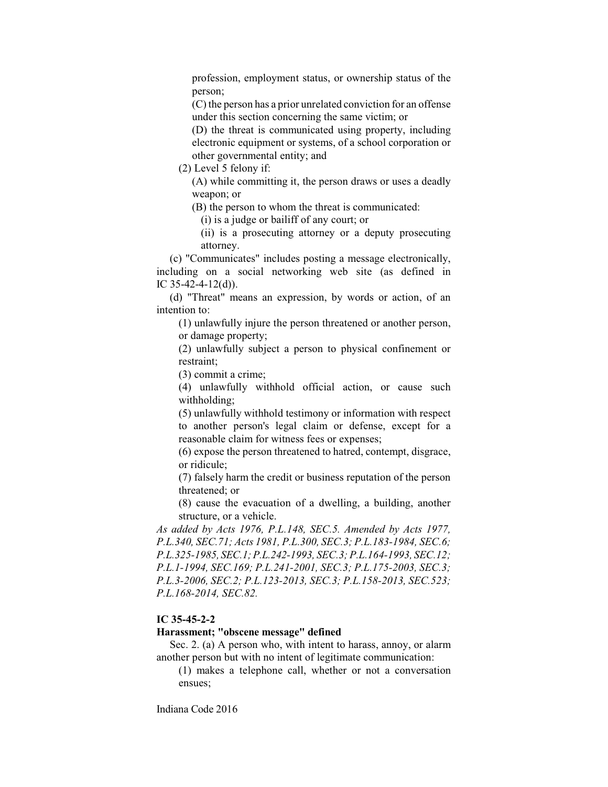profession, employment status, or ownership status of the person;

(C) the person has a prior unrelated conviction for an offense under this section concerning the same victim; or

(D) the threat is communicated using property, including electronic equipment or systems, of a school corporation or other governmental entity; and

(2) Level 5 felony if:

(A) while committing it, the person draws or uses a deadly weapon; or

(B) the person to whom the threat is communicated:

(i) is a judge or bailiff of any court; or

(ii) is a prosecuting attorney or a deputy prosecuting attorney.

(c) "Communicates" includes posting a message electronically, including on a social networking web site (as defined in IC 35-42-4-12(d)).

(d) "Threat" means an expression, by words or action, of an intention to:

(1) unlawfully injure the person threatened or another person, or damage property;

(2) unlawfully subject a person to physical confinement or restraint;

(3) commit a crime;

(4) unlawfully withhold official action, or cause such withholding;

(5) unlawfully withhold testimony or information with respect to another person's legal claim or defense, except for a reasonable claim for witness fees or expenses;

(6) expose the person threatened to hatred, contempt, disgrace, or ridicule;

(7) falsely harm the credit or business reputation of the person threatened; or

(8) cause the evacuation of a dwelling, a building, another structure, or a vehicle.

*As added by Acts 1976, P.L.148, SEC.5. Amended by Acts 1977, P.L.340, SEC.71; Acts 1981, P.L.300, SEC.3; P.L.183-1984, SEC.6; P.L.325-1985, SEC.1;P.L.242-1993, SEC.3; P.L.164-1993, SEC.12; P.L.1-1994, SEC.169; P.L.241-2001, SEC.3; P.L.175-2003, SEC.3; P.L.3-2006, SEC.2; P.L.123-2013, SEC.3; P.L.158-2013, SEC.523; P.L.168-2014, SEC.82.*

### **IC 35-45-2-2**

### **Harassment; "obscene message" defined**

Sec. 2. (a) A person who, with intent to harass, annoy, or alarm another person but with no intent of legitimate communication:

(1) makes a telephone call, whether or not a conversation ensues;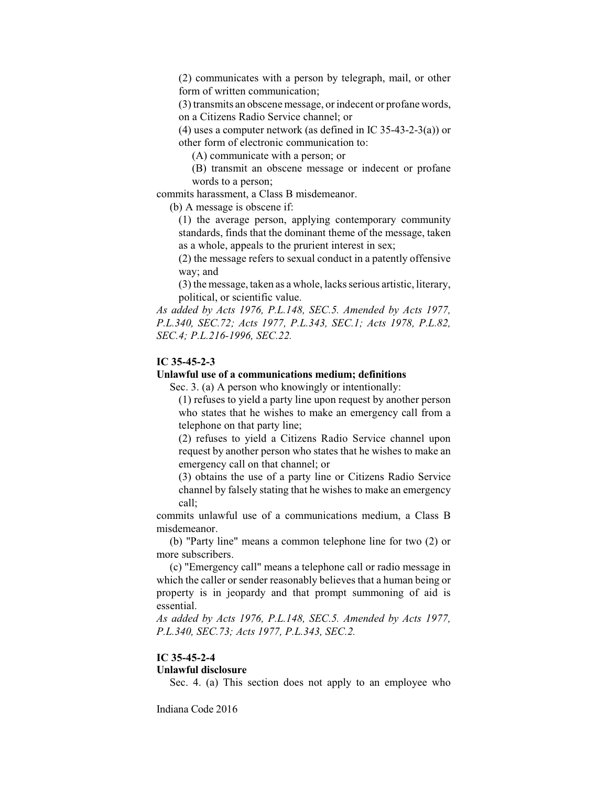(2) communicates with a person by telegraph, mail, or other form of written communication;

(3) transmits an obscene message, or indecent or profane words, on a Citizens Radio Service channel; or

(4) uses a computer network (as defined in IC 35-43-2-3(a)) or other form of electronic communication to:

(A) communicate with a person; or

(B) transmit an obscene message or indecent or profane words to a person;

commits harassment, a Class B misdemeanor.

(b) A message is obscene if:

(1) the average person, applying contemporary community standards, finds that the dominant theme of the message, taken as a whole, appeals to the prurient interest in sex;

(2) the message refers to sexual conduct in a patently offensive way; and

(3) the message, taken as a whole, lacks serious artistic, literary, political, or scientific value.

*As added by Acts 1976, P.L.148, SEC.5. Amended by Acts 1977, P.L.340, SEC.72; Acts 1977, P.L.343, SEC.1; Acts 1978, P.L.82, SEC.4; P.L.216-1996, SEC.22.*

### **IC 35-45-2-3**

#### **Unlawful use of a communications medium; definitions**

Sec. 3. (a) A person who knowingly or intentionally:

(1) refuses to yield a party line upon request by another person who states that he wishes to make an emergency call from a telephone on that party line;

(2) refuses to yield a Citizens Radio Service channel upon request by another person who states that he wishes to make an emergency call on that channel; or

(3) obtains the use of a party line or Citizens Radio Service channel by falsely stating that he wishes to make an emergency call;

commits unlawful use of a communications medium, a Class B misdemeanor.

(b) "Party line" means a common telephone line for two (2) or more subscribers.

(c) "Emergency call" means a telephone call or radio message in which the caller or sender reasonably believes that a human being or property is in jeopardy and that prompt summoning of aid is essential.

*As added by Acts 1976, P.L.148, SEC.5. Amended by Acts 1977, P.L.340, SEC.73; Acts 1977, P.L.343, SEC.2.*

## **IC 35-45-2-4**

## **Unlawful disclosure**

Sec. 4. (a) This section does not apply to an employee who

Indiana Code 2016